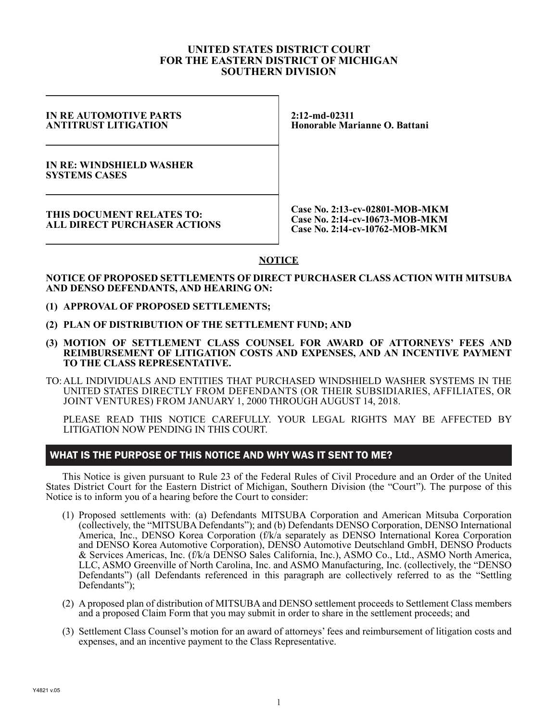#### **UNITED STATES DISTRICT COURT FOR THE EASTERN DISTRICT OF MICHIGAN SOUTHERN DIVISION**

#### **IN RE AUTOMOTIVE PARTS ANTITRUST LITIGATION**

**2:12-md-02311 Honorable Marianne O. Battani**

**IN RE: WINDSHIELD WASHER SYSTEMS CASES**

**THIS DOCUMENT RELATES TO: ALL DIRECT PURCHASER ACTIONS**

**Case No. 2:13-cv-02801-MOB-MKM Case No. 2:14-cv-10673-MOB-MKM Case No. 2:14-cv-10762-MOB-MKM**

# **NOTICE**

#### **NOTICE OF PROPOSED SETTLEMENTS OF DIRECT PURCHASER CLASS ACTION WITH MITSUBA AND DENSO DEFENDANTS, AND HEARING ON:**

- **(1) APPROVAL OF PROPOSED SETTLEMENTS;**
- **(2) PLAN OF DISTRIBUTION OF THE SETTLEMENT FUND; AND**
- **(3) MOTION OF SETTLEMENT CLASS COUNSEL FOR AWARD OF ATTORNEYS' FEES AND REIMBURSEMENT OF LITIGATION COSTS AND EXPENSES, AND AN INCENTIVE PAYMENT TO THE CLASS REPRESENTATIVE.**
- TO: ALL INDIVIDUALS AND ENTITIES THAT PURCHASED WINDSHIELD WASHER SYSTEMS IN THE UNITED STATES DIRECTLY FROM DEFENDANTS (OR THEIR SUBSIDIARIES, AFFILIATES, OR JOINT VENTURES) FROM JANUARY 1, 2000 THROUGH AUGUST 14, 2018.

PLEASE READ THIS NOTICE CAREFULLY. YOUR LEGAL RIGHTS MAY BE AFFECTED BY LITIGATION NOW PENDING IN THIS COURT.

#### WHAT IS THE PURPOSE OF THIS NOTICE AND WHY WAS IT SENT TO ME?

This Notice is given pursuant to Rule 23 of the Federal Rules of Civil Procedure and an Order of the United States District Court for the Eastern District of Michigan, Southern Division (the "Court"). The purpose of this Notice is to inform you of a hearing before the Court to consider:

- (1) Proposed settlements with: (a) Defendants MITSUBA Corporation and American Mitsuba Corporation (collectively, the "MITSUBA Defendants"); and (b) Defendants DENSO Corporation, DENSO International America, Inc., DENSO Korea Corporation (f/k/a separately as DENSO International Korea Corporation and DENSO Korea Automotive Corporation), DENSO Automotive Deutschland GmbH, DENSO Products & Services Americas, Inc. (f/k/a DENSO Sales California, Inc.), ASMO Co., Ltd., ASMO North America, LLC, ASMO Greenville of North Carolina, Inc. and ASMO Manufacturing, Inc. (collectively, the "DENSO Defendants") (all Defendants referenced in this paragraph are collectively referred to as the "Settling Defendants");
- (2) A proposed plan of distribution of MITSUBA and DENSO settlement proceeds to Settlement Class members and a proposed Claim Form that you may submit in order to share in the settlement proceeds; and
- (3) Settlement Class Counsel's motion for an award of attorneys' fees and reimbursement of litigation costs and expenses, and an incentive payment to the Class Representative.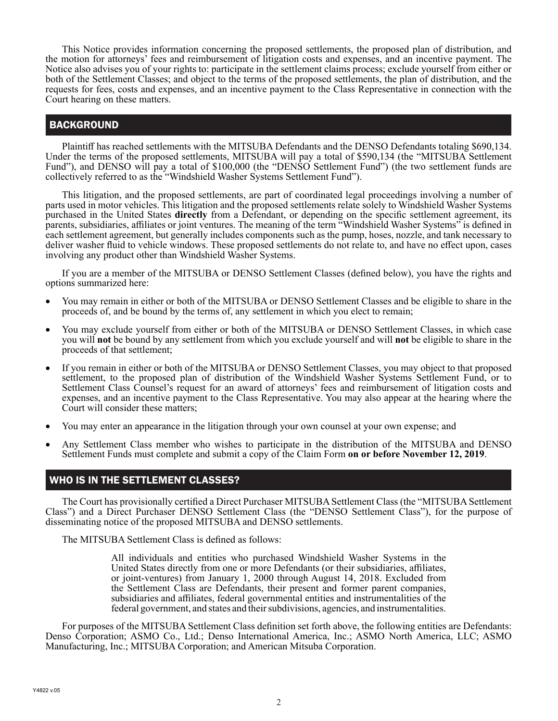This Notice provides information concerning the proposed settlements, the proposed plan of distribution, and the motion for attorneys' fees and reimbursement of litigation costs and expenses, and an incentive payment. The Notice also advises you of your rights to: participate in the settlement claims process; exclude yourself from either or both of the Settlement Classes; and object to the terms of the proposed settlements, the plan of distribution, and the requests for fees, costs and expenses, and an incentive payment to the Class Representative in connection with the Court hearing on these matters.

# BACKGROUND

Plaintiff has reached settlements with the MITSUBA Defendants and the DENSO Defendants totaling \$690,134. Under the terms of the proposed settlements, MITSUBA will pay a total of \$590,134 (the "MITSUBA Settlement Fund"), and DENSO will pay a total of \$100,000 (the "DENSO Settlement Fund") (the two settlement funds are collectively referred to as the "Windshield Washer Systems Settlement Fund").

This litigation, and the proposed settlements, are part of coordinated legal proceedings involving a number of parts used in motor vehicles. This litigation and the proposed settlements relate solely to Windshield Washer Systems purchased in the United States **directly** from a Defendant, or depending on the specific settlement agreement, its parents, subsidiaries, affiliates or joint ventures. The meaning of the term "Windshield Washer Systems" is defined in each settlement agreement, but generally includes components such as the pump, hoses, nozzle, and tank necessary to deliver washer fluid to vehicle windows. These proposed settlements do not relate to, and have no effect upon, cases involving any product other than Windshield Washer Systems.

If you are a member of the MITSUBA or DENSO Settlement Classes (defined below), you have the rights and options summarized here:

- You may remain in either or both of the MITSUBA or DENSO Settlement Classes and be eligible to share in the proceeds of, and be bound by the terms of, any settlement in which you elect to remain;
- You may exclude yourself from either or both of the MITSUBA or DENSO Settlement Classes, in which case you will **not** be bound by any settlement from which you exclude yourself and will **not** be eligible to share in the proceeds of that settlement;
- If you remain in either or both of the MITSUBA or DENSO Settlement Classes, you may object to that proposed settlement, to the proposed plan of distribution of the Windshield Washer Systems Settlement Fund, or to Settlement Class Counsel's request for an award of attorneys' fees and reimbursement of litigation costs and expenses, and an incentive payment to the Class Representative. You may also appear at the hearing where the Court will consider these matters;
- You may enter an appearance in the litigation through your own counsel at your own expense; and
- Any Settlement Class member who wishes to participate in the distribution of the MITSUBA and DENSO Settlement Funds must complete and submit a copy of the Claim Form **on or before November 12, 2019**.

# WHO IS IN THE SETTLEMENT CLASSES?

The Court has provisionally certified a Direct Purchaser MITSUBA Settlement Class (the "MITSUBA Settlement Class") and a Direct Purchaser DENSO Settlement Class (the "DENSO Settlement Class"), for the purpose of disseminating notice of the proposed MITSUBA and DENSO settlements.

The MITSUBA Settlement Class is defined as follows:

All individuals and entities who purchased Windshield Washer Systems in the United States directly from one or more Defendants (or their subsidiaries, affiliates, or joint-ventures) from January 1, 2000 through August 14, 2018. Excluded from the Settlement Class are Defendants, their present and former parent companies, subsidiaries and affiliates, federal governmental entities and instrumentalities of the federal government, and states and their subdivisions, agencies, and instrumentalities.

For purposes of the MITSUBA Settlement Class definition set forth above, the following entities are Defendants: Denso Corporation; ASMO Co., Ltd.; Denso International America, Inc.; ASMO North America, LLC; ASMO Manufacturing, Inc.; MITSUBA Corporation; and American Mitsuba Corporation.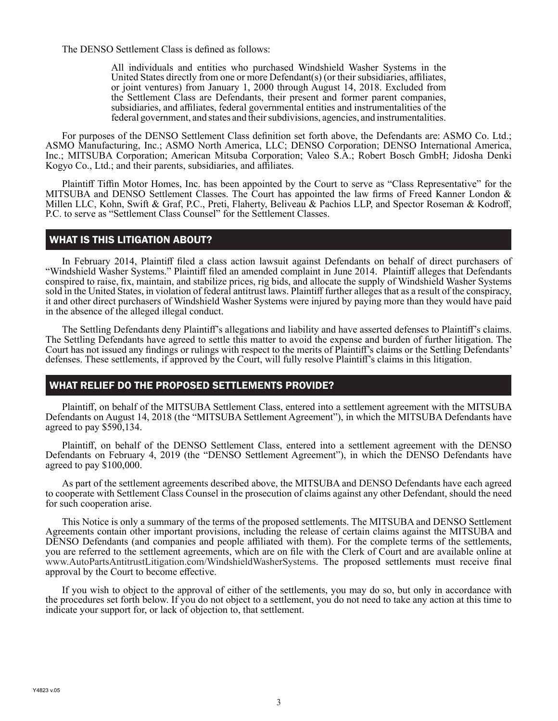The DENSO Settlement Class is defined as follows:

All individuals and entities who purchased Windshield Washer Systems in the United States directly from one or more Defendant(s) (or their subsidiaries, affiliates, or joint ventures) from January 1, 2000 through August 14, 2018. Excluded from the Settlement Class are Defendants, their present and former parent companies, subsidiaries, and affiliates, federal governmental entities and instrumentalities of the federal government, and states and their subdivisions, agencies, and instrumentalities.

For purposes of the DENSO Settlement Class definition set forth above, the Defendants are: ASMO Co. Ltd.; ASMO Manufacturing, Inc.; ASMO North America, LLC; DENSO Corporation; DENSO International America, Inc.; MITSUBA Corporation; American Mitsuba Corporation; Valeo S.A.; Robert Bosch GmbH; Jidosha Denki Kogyo Co., Ltd.; and their parents, subsidiaries, and affiliates.

Plaintiff Tiffin Motor Homes, Inc. has been appointed by the Court to serve as "Class Representative" for the MITSUBA and DENSO Settlement Classes. The Court has appointed the law firms of Freed Kanner London & Millen LLC, Kohn, Swift & Graf, P.C., Preti, Flaherty, Beliveau & Pachios LLP, and Spector Roseman & Kodroff, P.C. to serve as "Settlement Class Counsel" for the Settlement Classes.

#### WHAT IS THIS LITIGATION ABOUT?

In February 2014, Plaintiff filed a class action lawsuit against Defendants on behalf of direct purchasers of "Windshield Washer Systems." Plaintiff filed an amended complaint in June 2014.Plaintiff alleges that Defendants conspired to raise, fix, maintain, and stabilize prices, rig bids, and allocate the supply of Windshield Washer Systems sold in the United States, in violation of federal antitrust laws. Plaintiff further alleges that as a result of the conspiracy, it and other direct purchasers of Windshield Washer Systems were injured by paying more than they would have paid in the absence of the alleged illegal conduct.

The Settling Defendants deny Plaintiff's allegations and liability and have asserted defenses to Plaintiff's claims. The Settling Defendants have agreed to settle this matter to avoid the expense and burden of further litigation. The Court has not issued any findings or rulings with respect to the merits of Plaintiff's claims or the Settling Defendants' defenses. These settlements, if approved by the Court, will fully resolve Plaintiff's claims in this litigation.

# WHAT RELIEF DO THE PROPOSED SETTLEMENTS PROVIDE?

Plaintiff, on behalf of the MITSUBA Settlement Class, entered into a settlement agreement with the MITSUBA Defendants on August 14, 2018 (the "MITSUBA Settlement Agreement"), in which the MITSUBA Defendants have agreed to pay  $$590,134$ .

Plaintiff, on behalf of the DENSO Settlement Class, entered into a settlement agreement with the DENSO Defendants on February 4, 2019 (the "DENSO Settlement Agreement"), in which the DENSO Defendants have agreed to pay \$100,000.

As part of the settlement agreements described above, the MITSUBA and DENSO Defendants have each agreed to cooperate with Settlement Class Counsel in the prosecution of claims against any other Defendant, should the need for such cooperation arise.

This Notice is only a summary of the terms of the proposed settlements. The MITSUBA and DENSO Settlement Agreements contain other important provisions, including the release of certain claims against the MITSUBA and DENSO Defendants (and companies and people affiliated with them). For the complete terms of the settlements, you are referred to the settlement agreements, which are on file with the Clerk of Court and are available online at www.AutoPartsAntitrustLitigation.com/WindshieldWasherSystems. The proposed settlements must receive final approval by the Court to become effective.

If you wish to object to the approval of either of the settlements, you may do so, but only in accordance with the procedures set forth below. If you do not object to a settlement, you do not need to take any action at this time to indicate your support for, or lack of objection to, that settlement.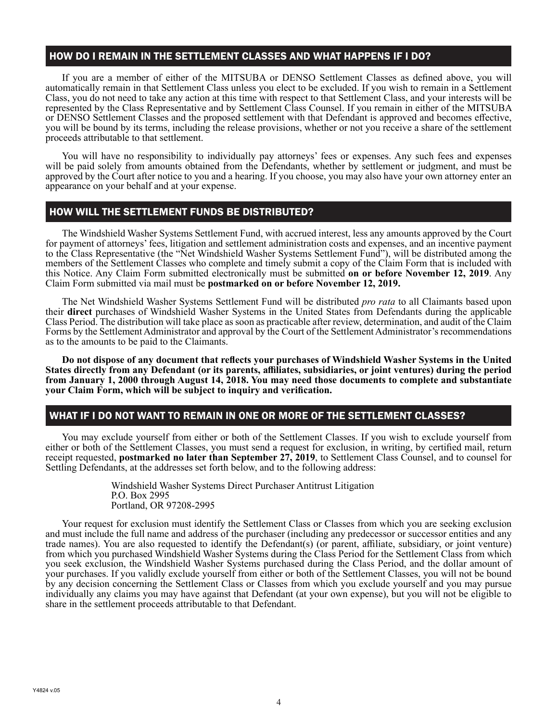### HOW DO I REMAIN IN THE SETTLEMENT CLASSES AND WHAT HAPPENS IF I DO?

If you are a member of either of the MITSUBA or DENSO Settlement Classes as defined above, you will automatically remain in that Settlement Class unless you elect to be excluded. If you wish to remain in a Settlement Class, you do not need to take any action at this time with respect to that Settlement Class, and your interests will be represented by the Class Representative and by Settlement Class Counsel. If you remain in either of the MITSUBA or DENSO Settlement Classes and the proposed settlement with that Defendant is approved and becomes effective, you will be bound by its terms, including the release provisions, whether or not you receive a share of the settlement proceeds attributable to that settlement.

You will have no responsibility to individually pay attorneys' fees or expenses. Any such fees and expenses will be paid solely from amounts obtained from the Defendants, whether by settlement or judgment, and must be approved by the Court after notice to you and a hearing. If you choose, you may also have your own attorney enter an appearance on your behalf and at your expense.

# HOW WILL THE SETTLEMENT FUNDS BE DISTRIBUTED?

The Windshield Washer Systems Settlement Fund, with accrued interest, less any amounts approved by the Court for payment of attorneys' fees, litigation and settlement administration costs and expenses, and an incentive payment to the Class Representative (the "Net Windshield Washer Systems Settlement Fund"), will be distributed among the members of the Settlement Classes who complete and timely submit a copy of the Claim Form that is included with this Notice. Any Claim Form submitted electronically must be submitted **on or before November 12, 2019**. Any Claim Form submitted via mail must be **postmarked on or before November 12, 2019.** 

The Net Windshield Washer Systems Settlement Fund will be distributed *pro rata* to all Claimants based upon their **direct** purchases of Windshield Washer Systems in the United States from Defendants during the applicable Class Period. The distribution will take place as soon as practicable after review, determination, and audit of the Claim Forms by the Settlement Administrator and approval by the Court of the Settlement Administrator's recommendations as to the amounts to be paid to the Claimants.

**Do not dispose of any document that reflects your purchases of Windshield Washer Systems in the United States directly from any Defendant (or its parents, affiliates, subsidiaries, or joint ventures) during the period from January 1, 2000 through August 14, 2018. You may need those documents to complete and substantiate your Claim Form, which will be subject to inquiry and verification.**

# WHAT IF I DO NOT WANT TO REMAIN IN ONE OR MORE OF THE SETTLEMENT CLASSES?

You may exclude yourself from either or both of the Settlement Classes. If you wish to exclude yourself from either or both of the Settlement Classes, you must send a request for exclusion, in writing, by certified mail, return receipt requested, **postmarked no later than September 27, 2019**, to Settlement Class Counsel, and to counsel for Settling Defendants, at the addresses set forth below, and to the following address:

> Windshield Washer Systems Direct Purchaser Antitrust Litigation P.O. Box 2995 Portland, OR 97208-2995

Your request for exclusion must identify the Settlement Class or Classes from which you are seeking exclusion and must include the full name and address of the purchaser (including any predecessor or successor entities and any trade names). You are also requested to identify the Defendant(s) (or parent, affiliate, subsidiary, or joint venture) from which you purchased Windshield Washer Systems during the Class Period for the Settlement Class from which you seek exclusion, the Windshield Washer Systems purchased during the Class Period, and the dollar amount of your purchases. If you validly exclude yourself from either or both of the Settlement Classes, you will not be bound by any decision concerning the Settlement Class or Classes from which you exclude yourself and you may pursue individually any claims you may have against that Defendant (at your own expense), but you will not be eligible to share in the settlement proceeds attributable to that Defendant.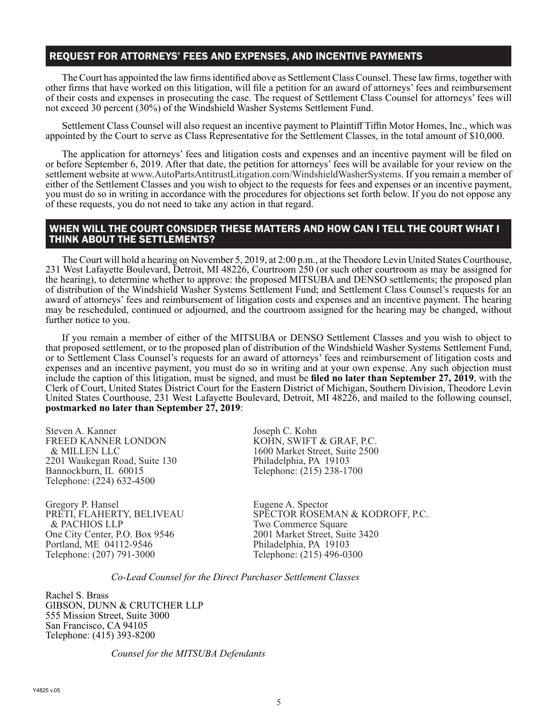# REQUEST FOR ATTORNEYS' FEES AND EXPENSES, AND INCENTIVE PAYMENTS

The Court has appointed the law firms identified above as Settlement Class Counsel. These law firms, together with other firms that have worked on this litigation, will file a petition for an award of attorneys' fees and reimbursement of their costs and expenses in prosecuting the case. The request of Settlement Class Counsel for attorneys' fees will not exceed 30 percent (30%) of the Windshield Washer Systems Settlement Fund.

Settlement Class Counsel will also request an incentive payment to Plaintiff Tiffin Motor Homes, Inc., which was appointed by the Court to serve as Class Representative for the Settlement Classes, in the total amount of \$10,000.

The application for attorneys' fees and litigation costs and expenses and an incentive payment will be filed on or before September 6, 2019. After that date, the petition for attorneys' fees will be available for your review on the settlement website at www.AutoPartsAntitrustLitigation.com/WindshieldWasherSystems. If you remain a member of either of the Settlement Classes and you wish to object to the requests for fees and expenses or an incentive payment, you must do so in writing in accordance with the procedures for objections set forth below. If you do not oppose any of these requests, you do not need to take any action in that regard.

#### WHEN WILL THE COURT CONSIDER THESE MATTERS AND HOW CAN I TELL THE COURT WHAT I THINK ABOUT THE SETTLEMENTS?

The Court will hold a hearing on November 5, 2019, at 2:00 p.m., at the Theodore Levin United States Courthouse, 231 West Lafayette Boulevard, Detroit, MI 48226, Courtroom 250 (or such other courtroom as may be assigned for the hearing), to determine whether to approve: the proposed MITSUBA and DENSO settlements; the proposed plan of distribution of the Windshield Washer Systems Settlement Fund; and Settlement Class Counsel's requests for an award of attorneys' fees and reimbursement of litigation costs and expenses and an incentive payment. The hearing may be rescheduled, continued or adjourned, and the courtroom assigned for the hearing may be changed, without further notice to you.

If you remain a member of either of the MITSUBA or DENSO Settlement Classes and you wish to object to that proposed settlement, or to the proposed plan of distribution of the Windshield Washer Systems Settlement Fund, or to Settlement Class Counsel's requests for an award of attorneys' fees and reimbursement of litigation costs and expenses and an incentive payment, you must do so in writing and at your own expense. Any such objection must include the caption of this litigation, must be signed, and must be **filed no later than September 27, 2019**, with the Clerk of Court, United States District Court for the Eastern District of Michigan, Southern Division, Theodore Levin United States Courthouse, 231 West Lafayette Boulevard, Detroit, MI 48226, and mailed to the following counsel, **postmarked no later than September 27, 2019**:

Steven A. Kanner FREED KANNER LONDON & MILLEN LLC 2201 Waukegan Road, Suite 130 Bannockburn, IL 60015 Telephone: (224) 632-4500

Gregory P. Hansel PRETI, FLAHERTY, BELIVEAU & PACHIOS LLP One City Center, P.O. Box 9546 Portland, ME 04112-9546 Telephone: (207) 791-3000

Joseph C. Kohn KOHN, SWIFT & GRAF, P.C. 1600 Market Street, Suite 2500 Philadelphia, PA 19103 Telephone: (215) 238-1700

Eugene A. Spector SPECTOR ROSEMAN & KODROFF, P.C. Two Commerce Square 2001 Market Street, Suite 3420 Philadelphia, PA 19103 Telephone: (215) 496-0300

*Co-Lead Counsel for the Direct Purchaser Settlement Classes*

Rachel S. Brass GIBSON, DUNN & CRUTCHER LLP 555 Mission Street, Suite 3000 San Francisco, CA 94105 Telephone: (415) 393-8200

 *Counsel for the MITSUBA Defendants*